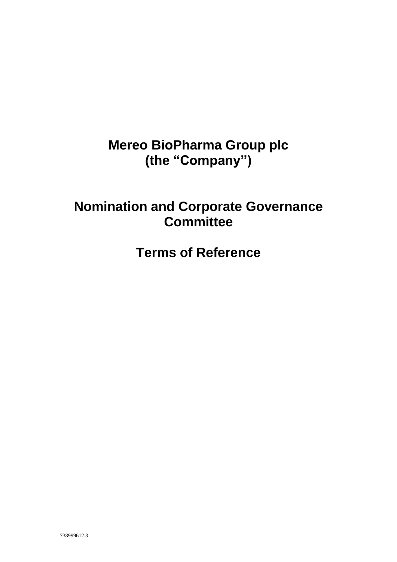# **Mereo BioPharma Group plc (the "Company")**

## **Nomination and Corporate Governance Committee**

**Terms of Reference**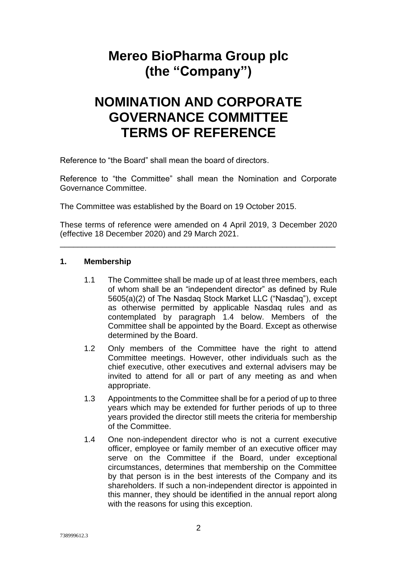## **Mereo BioPharma Group plc (the "Company")**

## **NOMINATION AND CORPORATE GOVERNANCE COMMITTEE TERMS OF REFERENCE**

Reference to "the Board" shall mean the board of directors.

Reference to "the Committee" shall mean the Nomination and Corporate Governance Committee.

The Committee was established by the Board on 19 October 2015.

These terms of reference were amended on 4 April 2019, 3 December 2020 (effective 18 December 2020) and 29 March 2021.

\_\_\_\_\_\_\_\_\_\_\_\_\_\_\_\_\_\_\_\_\_\_\_\_\_\_\_\_\_\_\_\_\_\_\_\_\_\_\_\_\_\_\_\_\_\_\_\_\_\_\_\_\_\_\_\_\_\_\_\_\_\_

#### **1. Membership**

- 1.1 The Committee shall be made up of at least three members, each of whom shall be an "independent director" as defined by Rule 5605(a)(2) of The Nasdaq Stock Market LLC ("Nasdaq"), except as otherwise permitted by applicable Nasdaq rules and as contemplated by paragraph 1.4 below. Members of the Committee shall be appointed by the Board. Except as otherwise determined by the Board.
- 1.2 Only members of the Committee have the right to attend Committee meetings. However, other individuals such as the chief executive, other executives and external advisers may be invited to attend for all or part of any meeting as and when appropriate.
- 1.3 Appointments to the Committee shall be for a period of up to three years which may be extended for further periods of up to three years provided the director still meets the criteria for membership of the Committee.
- 1.4 One non-independent director who is not a current executive officer, employee or family member of an executive officer may serve on the Committee if the Board, under exceptional circumstances, determines that membership on the Committee by that person is in the best interests of the Company and its shareholders. If such a non-independent director is appointed in this manner, they should be identified in the annual report along with the reasons for using this exception.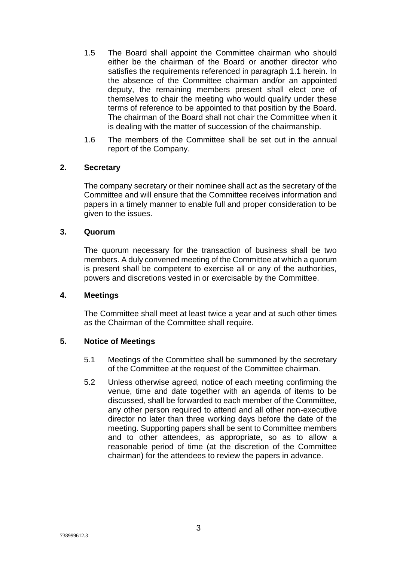- 1.5 The Board shall appoint the Committee chairman who should either be the chairman of the Board or another director who satisfies the requirements referenced in paragraph 1.1 herein. In the absence of the Committee chairman and/or an appointed deputy, the remaining members present shall elect one of themselves to chair the meeting who would qualify under these terms of reference to be appointed to that position by the Board. The chairman of the Board shall not chair the Committee when it is dealing with the matter of succession of the chairmanship.
- 1.6 The members of the Committee shall be set out in the annual report of the Company.

#### **2. Secretary**

The company secretary or their nominee shall act as the secretary of the Committee and will ensure that the Committee receives information and papers in a timely manner to enable full and proper consideration to be given to the issues.

### **3. Quorum**

The quorum necessary for the transaction of business shall be two members. A duly convened meeting of the Committee at which a quorum is present shall be competent to exercise all or any of the authorities, powers and discretions vested in or exercisable by the Committee.

#### **4. Meetings**

The Committee shall meet at least twice a year and at such other times as the Chairman of the Committee shall require.

#### **5. Notice of Meetings**

- 5.1 Meetings of the Committee shall be summoned by the secretary of the Committee at the request of the Committee chairman.
- 5.2 Unless otherwise agreed, notice of each meeting confirming the venue, time and date together with an agenda of items to be discussed, shall be forwarded to each member of the Committee, any other person required to attend and all other non-executive director no later than three working days before the date of the meeting. Supporting papers shall be sent to Committee members and to other attendees, as appropriate, so as to allow a reasonable period of time (at the discretion of the Committee chairman) for the attendees to review the papers in advance.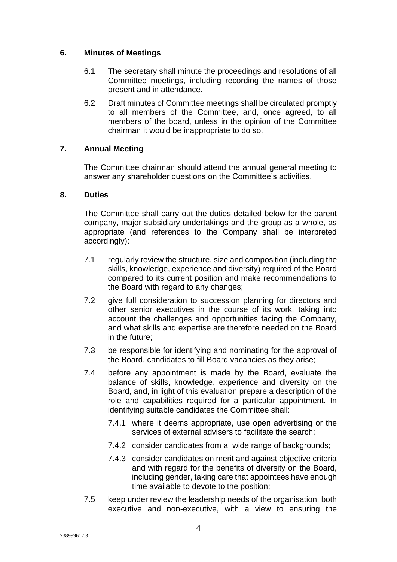### **6. Minutes of Meetings**

- 6.1 The secretary shall minute the proceedings and resolutions of all Committee meetings, including recording the names of those present and in attendance.
- 6.2 Draft minutes of Committee meetings shall be circulated promptly to all members of the Committee, and, once agreed, to all members of the board, unless in the opinion of the Committee chairman it would be inappropriate to do so.

### **7. Annual Meeting**

The Committee chairman should attend the annual general meeting to answer any shareholder questions on the Committee's activities.

#### **8. Duties**

The Committee shall carry out the duties detailed below for the parent company, major subsidiary undertakings and the group as a whole, as appropriate (and references to the Company shall be interpreted accordingly):

- 7.1 regularly review the structure, size and composition (including the skills, knowledge, experience and diversity) required of the Board compared to its current position and make recommendations to the Board with regard to any changes;
- 7.2 give full consideration to succession planning for directors and other senior executives in the course of its work, taking into account the challenges and opportunities facing the Company, and what skills and expertise are therefore needed on the Board in the future;
- 7.3 be responsible for identifying and nominating for the approval of the Board, candidates to fill Board vacancies as they arise;
- 7.4 before any appointment is made by the Board, evaluate the balance of skills, knowledge, experience and diversity on the Board, and, in light of this evaluation prepare a description of the role and capabilities required for a particular appointment. In identifying suitable candidates the Committee shall:
	- 7.4.1 where it deems appropriate, use open advertising or the services of external advisers to facilitate the search;
	- 7.4.2 consider candidates from a wide range of backgrounds;
	- 7.4.3 consider candidates on merit and against objective criteria and with regard for the benefits of diversity on the Board, including gender, taking care that appointees have enough time available to devote to the position;
- 7.5 keep under review the leadership needs of the organisation, both executive and non-executive, with a view to ensuring the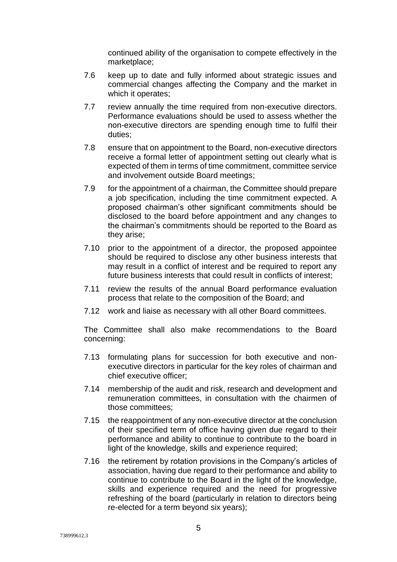continued ability of the organisation to compete effectively in the marketplace;

- 7.6 keep up to date and fully informed about strategic issues and commercial changes affecting the Company and the market in which it operates;
- 7.7 review annually the time required from non-executive directors. Performance evaluations should be used to assess whether the non-executive directors are spending enough time to fulfil their duties;
- 7.8 ensure that on appointment to the Board, non-executive directors receive a formal letter of appointment setting out clearly what is expected of them in terms of time commitment, committee service and involvement outside Board meetings;
- 7.9 for the appointment of a chairman, the Committee should prepare a job specification, including the time commitment expected. A proposed chairman's other significant commitments should be disclosed to the board before appointment and any changes to the chairman's commitments should be reported to the Board as they arise;
- 7.10 prior to the appointment of a director, the proposed appointee should be required to disclose any other business interests that may result in a conflict of interest and be required to report any future business interests that could result in conflicts of interest;
- 7.11 review the results of the annual Board performance evaluation process that relate to the composition of the Board; and
- 7.12 work and liaise as necessary with all other Board committees.

The Committee shall also make recommendations to the Board concerning:

- 7.13 formulating plans for succession for both executive and nonexecutive directors in particular for the key roles of chairman and chief executive officer;
- 7.14 membership of the audit and risk, research and development and remuneration committees, in consultation with the chairmen of those committees;
- 7.15 the reappointment of any non-executive director at the conclusion of their specified term of office having given due regard to their performance and ability to continue to contribute to the board in light of the knowledge, skills and experience required;
- 7.16 the retirement by rotation provisions in the Company's articles of association, having due regard to their performance and ability to continue to contribute to the Board in the light of the knowledge, skills and experience required and the need for progressive refreshing of the board (particularly in relation to directors being re-elected for a term beyond six years);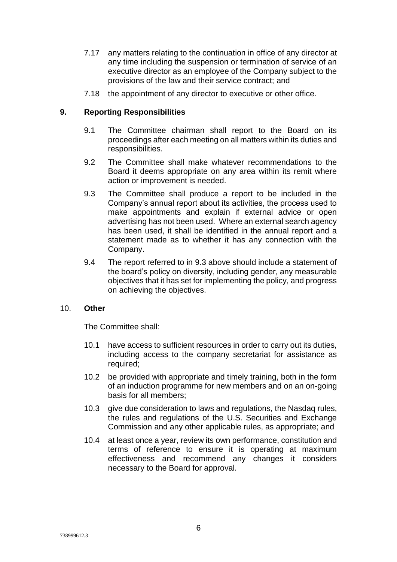- 7.17 any matters relating to the continuation in office of any director at any time including the suspension or termination of service of an executive director as an employee of the Company subject to the provisions of the law and their service contract; and
- 7.18 the appointment of any director to executive or other office.

#### **9. Reporting Responsibilities**

- 9.1 The Committee chairman shall report to the Board on its proceedings after each meeting on all matters within its duties and responsibilities.
- 9.2 The Committee shall make whatever recommendations to the Board it deems appropriate on any area within its remit where action or improvement is needed.
- 9.3 The Committee shall produce a report to be included in the Company's annual report about its activities, the process used to make appointments and explain if external advice or open advertising has not been used. Where an external search agency has been used, it shall be identified in the annual report and a statement made as to whether it has any connection with the Company.
- 9.4 The report referred to in 9.3 above should include a statement of the board's policy on diversity, including gender, any measurable objectives that it has set for implementing the policy, and progress on achieving the objectives.

#### 10. **Other**

The Committee shall:

- 10.1 have access to sufficient resources in order to carry out its duties, including access to the company secretariat for assistance as required;
- 10.2 be provided with appropriate and timely training, both in the form of an induction programme for new members and on an on-going basis for all members;
- 10.3 give due consideration to laws and regulations, the Nasdaq rules, the rules and regulations of the U.S. Securities and Exchange Commission and any other applicable rules, as appropriate; and
- 10.4 at least once a year, review its own performance, constitution and terms of reference to ensure it is operating at maximum effectiveness and recommend any changes it considers necessary to the Board for approval.